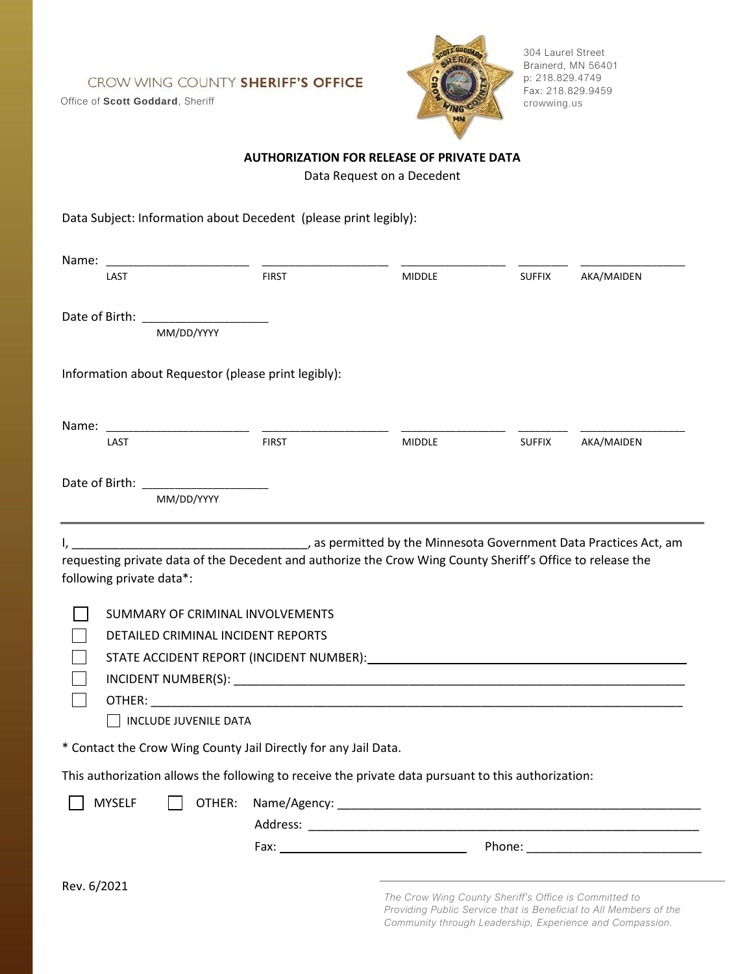CROW WING COUNTY SHERIFF'S OFFICE

Office of **Scott Goddard**, Sheriff



304 Laurel Street Brainerd, MN 56401 p: 218.829.4749 Fax: 218.829.9459 crowwing.us

## **AUTHORIZATION FOR RELEASE OF PRIVATE DATA**

Data Request on a Decedent

| Data Subject: Information about Decedent (please print legibly):                                                                                                                                                                                                                                                                  |              |                                                       |               |                                                                                                                               |
|-----------------------------------------------------------------------------------------------------------------------------------------------------------------------------------------------------------------------------------------------------------------------------------------------------------------------------------|--------------|-------------------------------------------------------|---------------|-------------------------------------------------------------------------------------------------------------------------------|
| Name:                                                                                                                                                                                                                                                                                                                             |              |                                                       |               |                                                                                                                               |
| LAST                                                                                                                                                                                                                                                                                                                              | <b>FIRST</b> | <b>MIDDLE</b>                                         | <b>SUFFIX</b> | AKA/MAIDEN                                                                                                                    |
|                                                                                                                                                                                                                                                                                                                                   |              |                                                       |               |                                                                                                                               |
| MM/DD/YYYY                                                                                                                                                                                                                                                                                                                        |              |                                                       |               |                                                                                                                               |
| Information about Requestor (please print legibly):                                                                                                                                                                                                                                                                               |              |                                                       |               |                                                                                                                               |
| Name:                                                                                                                                                                                                                                                                                                                             |              |                                                       |               |                                                                                                                               |
| LAST                                                                                                                                                                                                                                                                                                                              | <b>FIRST</b> | <b>MIDDLE</b>                                         | <b>SUFFIX</b> | AKA/MAIDEN                                                                                                                    |
| Date of Birth: The Case of Birth:                                                                                                                                                                                                                                                                                                 |              |                                                       |               |                                                                                                                               |
| MM/DD/YYYY                                                                                                                                                                                                                                                                                                                        |              |                                                       |               |                                                                                                                               |
| SUMMARY OF CRIMINAL INVOLVEMENTS<br>DETAILED CRIMINAL INCIDENT REPORTS<br>STATE ACCIDENT REPORT (INCIDENT NUMBER): Management of the state of the state of the state of the state of the state of the state of the state of the state of the state of the state of the state of the state of the state o<br>INCLUDE JUVENILE DATA |              |                                                       |               |                                                                                                                               |
| * Contact the Crow Wing County Jail Directly for any Jail Data.                                                                                                                                                                                                                                                                   |              |                                                       |               |                                                                                                                               |
| This authorization allows the following to receive the private data pursuant to this authorization:                                                                                                                                                                                                                               |              |                                                       |               |                                                                                                                               |
| <b>MYSELF</b><br>OTHER:                                                                                                                                                                                                                                                                                                           |              |                                                       |               |                                                                                                                               |
|                                                                                                                                                                                                                                                                                                                                   |              |                                                       |               |                                                                                                                               |
| Rev. 6/2021                                                                                                                                                                                                                                                                                                                       |              | The Crow Wing County Sheriff's Office is Committed to |               | Providing Public Service that is Beneficial to All Members of the<br>Community through Leadership, Experience and Compassion. |